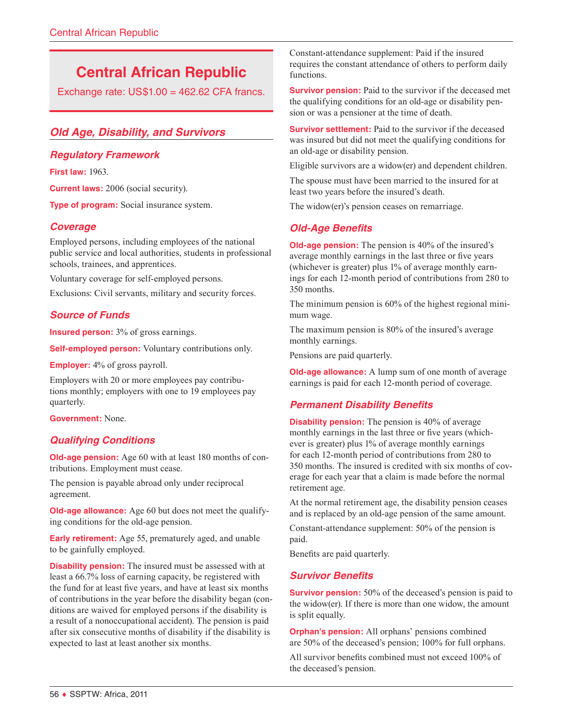# **Central African Republic**

Exchange rate:  $US$1.00 = 462.62$  CFA francs.

# *Old Age, Disability, and Survivors*

## *Regulatory Framework*

**First law:** 1963.

**Current laws:** 2006 (social security).

**Type of program:** Social insurance system.

## *Coverage*

Employed persons, including employees of the national public service and local authorities, students in professional schools, trainees, and apprentices.

Voluntary coverage for self-employed persons.

Exclusions: Civil servants, military and security forces.

## *Source of Funds*

**Insured person:** 3% of gross earnings.

**Self-employed person:** Voluntary contributions only.

**Employer:** 4% of gross payroll.

Employers with 20 or more employees pay contributions monthly; employers with one to 19 employees pay quarterly.

**Government:** None.

#### *Qualifying Conditions*

**Old-age pension:** Age 60 with at least 180 months of contributions. Employment must cease.

The pension is payable abroad only under reciprocal agreement.

**Old-age allowance:** Age 60 but does not meet the qualifying conditions for the old-age pension.

**Early retirement:** Age 55, prematurely aged, and unable to be gainfully employed.

**Disability pension:** The insured must be assessed with at least a 66.7% loss of earning capacity, be registered with the fund for at least five years, and have at least six months of contributions in the year before the disability began (conditions are waived for employed persons if the disability is a result of a nonoccupational accident). The pension is paid after six consecutive months of disability if the disability is expected to last at least another six months.

Constant-attendance supplement: Paid if the insured requires the constant attendance of others to perform daily functions.

**Survivor pension:** Paid to the survivor if the deceased met the qualifying conditions for an old-age or disability pension or was a pensioner at the time of death.

**Survivor settlement:** Paid to the survivor if the deceased was insured but did not meet the qualifying conditions for an old-age or disability pension.

Eligible survivors are a widow(er) and dependent children.

The spouse must have been married to the insured for at least two years before the insured's death.

The widow(er)'s pension ceases on remarriage.

## *Old-Age Benefits*

**Old-age pension:** The pension is 40% of the insured's average monthly earnings in the last three or five years (whichever is greater) plus 1% of average monthly earnings for each 12-month period of contributions from 280 to 350 months.

The minimum pension is 60% of the highest regional minimum wage.

The maximum pension is 80% of the insured's average monthly earnings.

Pensions are paid quarterly.

**Old-age allowance:** A lump sum of one month of average earnings is paid for each 12-month period of coverage.

# *Permanent Disability Benefits*

**Disability pension:** The pension is 40% of average monthly earnings in the last three or five years (whichever is greater) plus 1% of average monthly earnings for each 12-month period of contributions from 280 to 350 months. The insured is credited with six months of coverage for each year that a claim is made before the normal retirement age.

At the normal retirement age, the disability pension ceases and is replaced by an old-age pension of the same amount.

Constant-attendance supplement: 50% of the pension is paid.

Benefits are paid quarterly.

#### *Survivor Benefits*

**Survivor pension:** 50% of the deceased's pension is paid to the widow(er). If there is more than one widow, the amount is split equally.

**Orphan's pension:** All orphans' pensions combined are 50% of the deceased's pension; 100% for full orphans.

All survivor benefits combined must not exceed 100% of the deceased's pension.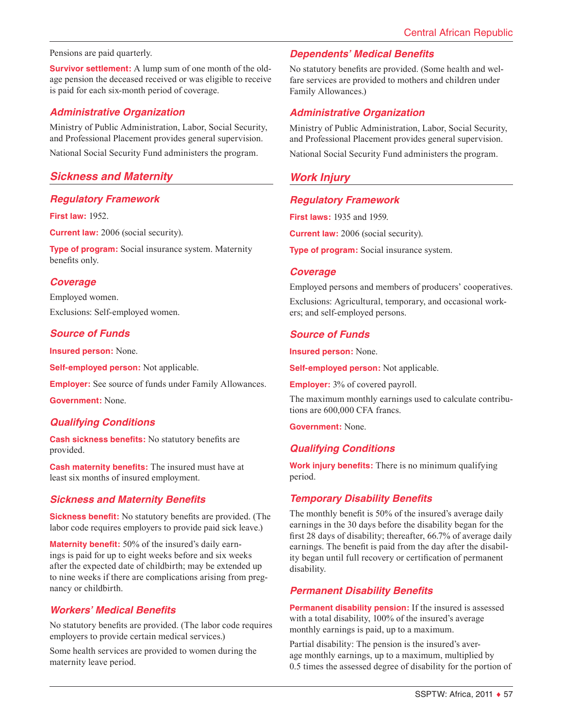#### Pensions are paid quarterly.

**Survivor settlement:** A lump sum of one month of the oldage pension the deceased received or was eligible to receive is paid for each six-month period of coverage.

#### *Administrative Organization*

Ministry of Public Administration, Labor, Social Security, and Professional Placement provides general supervision.

National Social Security Fund administers the program.

## *Sickness and Maternity*

#### *Regulatory Framework*

**First law:** 1952.

**Current law:** 2006 (social security).

**Type of program:** Social insurance system. Maternity benefits only.

#### *Coverage*

Employed women. Exclusions: Self-employed women.

#### *Source of Funds*

**Insured person:** None.

**Self-employed person:** Not applicable.

**Employer:** See source of funds under Family Allowances.

**Government:** None.

#### *Qualifying Conditions*

**Cash sickness benefits:** No statutory benefits are provided.

**Cash maternity benefits:** The insured must have at least six months of insured employment.

#### *Sickness and Maternity Benefits*

**Sickness benefit:** No statutory benefits are provided. (The labor code requires employers to provide paid sick leave.)

**Maternity benefit:** 50% of the insured's daily earnings is paid for up to eight weeks before and six weeks after the expected date of childbirth; may be extended up to nine weeks if there are complications arising from pregnancy or childbirth.

## *Workers' Medical Benefits*

No statutory benefits are provided. (The labor code requires employers to provide certain medical services.)

Some health services are provided to women during the maternity leave period.

#### *Dependents' Medical Benefits*

No statutory benefits are provided. (Some health and welfare services are provided to mothers and children under Family Allowances.)

#### *Administrative Organization*

Ministry of Public Administration, Labor, Social Security, and Professional Placement provides general supervision.

National Social Security Fund administers the program.

## *Work Injury*

## *Regulatory Framework*

**First laws:** 1935 and 1959.

**Current law:** 2006 (social security).

**Type of program:** Social insurance system.

#### *Coverage*

Employed persons and members of producers' cooperatives. Exclusions: Agricultural, temporary, and occasional workers; and self-employed persons.

#### *Source of Funds*

**Insured person:** None.

**Self-employed person:** Not applicable.

**Employer:** 3% of covered payroll.

The maximum monthly earnings used to calculate contributions are 600,000 CFA francs.

**Government:** None.

#### *Qualifying Conditions*

**Work injury benefits:** There is no minimum qualifying period.

## *Temporary Disability Benefits*

The monthly benefit is 50% of the insured's average daily earnings in the 30 days before the disability began for the first 28 days of disability; thereafter, 66.7% of average daily earnings. The benefit is paid from the day after the disability began until full recovery or certification of permanent disability.

#### *Permanent Disability Benefits*

**Permanent disability pension:** If the insured is assessed with a total disability, 100% of the insured's average monthly earnings is paid, up to a maximum.

Partial disability: The pension is the insured's average monthly earnings, up to a maximum, multiplied by 0.5 times the assessed degree of disability for the portion of